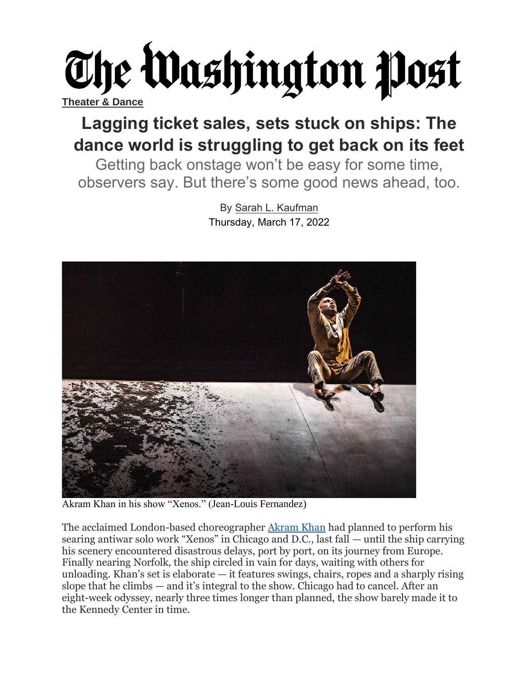

# **Lagging ticket sales, sets stuck on ships: The dance world is struggling to get back on its feet**

Getting back onstage won't be easy for some time, observers say. But there's some good news ahead, too.

> By Sarah L. Kaufman Thursday, March 17, 2022



Akram Khan in his show "Xenos." (Jean-Louis Fernandez)

The acclaimed London-based choreographer [Akram Khan](https://www.akramkhancompany.net/) had planned to perform his searing antiwar solo work "Xenos" in Chicago and D.C., last fall — until the ship carrying his scenery encountered disastrous delays, port by port, on its journey from Europe. Finally nearing Norfolk, the ship circled in vain for days, waiting with others for unloading. Khan's set is elaborate  $-$  it features swings, chairs, ropes and a sharply rising slope that he climbs — and it's integral to the show. Chicago had to cancel. After an eight-week odyssey, nearly three times longer than planned, the show barely made it to the Kennedy Center in time.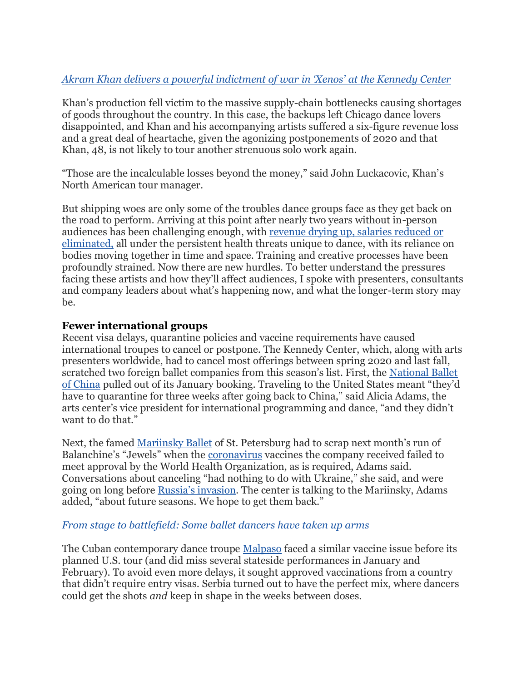# *[Akram Khan delivers a powerful indictment of war in 'Xenos'](https://www.washingtonpost.com/entertainment/theater_dance/akram-kahn-xenos-kennedy-center/2021/11/19/5e9dc3ee-4956-11ec-95dc-5f2a96e00fa3_story.html?itid=lk_interstitial_manual_5) at the Kennedy Center*

Khan's production fell victim to the massive supply-chain bottlenecks causing shortages of goods throughout the country. In this case, the backups left Chicago dance lovers disappointed, and Khan and his accompanying artists suffered a six-figure revenue loss and a great deal of heartache, given the agonizing postponements of 2020 and that Khan, 48, is not likely to tour another strenuous solo work again.

"Those are the incalculable losses beyond the money," said John Luckacovic, Khan's North American tour manager.

But shipping woes are only some of the troubles dance groups face as they get back on the road to perform. Arriving at this point after nearly two years without in-person audiences has been challenging enough, with [revenue drying up, salaries reduced or](https://www.washingtonpost.com/entertainment/theater_dance/dance-companies-folded-pandemic/2021/10/28/d1466e98-36a8-11ec-9bc4-86107e7b0ab1_story.html?itid=lk_inline_manual_10)  [eliminated,](https://www.washingtonpost.com/entertainment/theater_dance/dance-companies-folded-pandemic/2021/10/28/d1466e98-36a8-11ec-9bc4-86107e7b0ab1_story.html?itid=lk_inline_manual_10) all under the persistent health threats unique to dance, with its reliance on bodies moving together in time and space. Training and creative processes have been profoundly strained. Now there are new hurdles. To better understand the pressures facing these artists and how they'll affect audiences, I spoke with presenters, consultants and company leaders about what's happening now, and what the longer-term story may be.

#### **Fewer international groups**

Recent visa delays, quarantine policies and vaccine requirements have caused international troupes to cancel or postpone. The Kennedy Center, which, along with arts presenters worldwide, had to cancel most offerings between spring 2020 and last fall, scratched two foreign ballet companies from this season's list. First, the [National Ballet](http://www.china.org.cn/english/features/Festival/143216.htm)  [of China](http://www.china.org.cn/english/features/Festival/143216.htm) pulled out of its January booking. Traveling to the United States meant "they'd have to quarantine for three weeks after going back to China," said Alicia Adams, the arts center's vice president for international programming and dance, "and they didn't want to do that."

Next, the famed [Mariinsky Ballet](https://www.washingtonpost.com/entertainment/theater_dance/mariinsky-ballets-swan-lake-is-magical/2014/01/29/67bd9ef4-8924-11e3-833c-33098f9e5267_story.html?itid=lk_inline_manual_15) of St. Petersburg had to scrap next month's run of Balanchine's "Jewels" when the [coronavirus](https://www.washingtonpost.com/coronavirus/?itid=lk_inline_manual_15) vaccines the company received failed to meet approval by the World Health Organization, as is required, Adams said. Conversations about canceling "had nothing to do with Ukraine," she said, and were going on long before [Russia's invasion](https://www.washingtonpost.com/world/ukraine-russia/?itid=lk_inline_manual_15). The center is talking to the Mariinsky, Adams added, "about future seasons. We hope to get them back."

#### *[From stage to battlefield: Some ballet dancers have taken up arms](https://www.washingtonpost.com/arts-entertainment/2022/03/11/ballet-dancers-ukraine-fighting/?itid=lk_interstitial_manual_16)*

The Cuban contemporary dance troupe [Malpaso](https://www.malpasodance.com/) faced a similar vaccine issue before its planned U.S. tour (and did miss several stateside performances in January and February). To avoid even more delays, it sought approved vaccinations from a country that didn't require entry visas. Serbia turned out to have the perfect mix, where dancers could get the shots *and* keep in shape in the weeks between doses.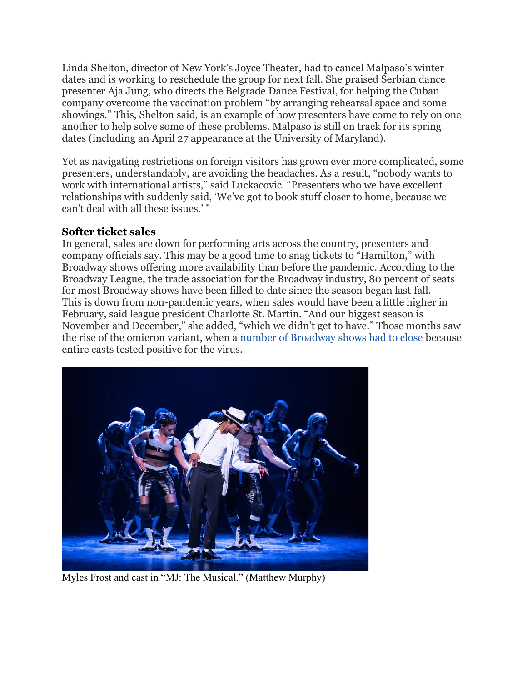Linda Shelton, director of New York's Joyce Theater, had to cancel Malpaso's winter dates and is working to reschedule the group for next fall. She praised Serbian dance presenter Aja Jung, who directs the Belgrade Dance Festival, for helping the Cuban company overcome the vaccination problem "by arranging rehearsal space and some showings." This, Shelton said, is an example of how presenters have come to rely on one another to help solve some of these problems. Malpaso is still on track for its spring dates (including an April 27 appearance at the University of Maryland).

Yet as navigating restrictions on foreign visitors has grown ever more complicated, some presenters, understandably, are avoiding the headaches. As a result, "nobody wants to work with international artists," said Luckacovic. "Presenters who we have excellent relationships with suddenly said, 'We've got to book stuff closer to home, because we can't deal with all these issues.' "

#### **Softer ticket sales**

In general, sales are down for performing arts across the country, presenters and company officials say. This may be a good time to snag tickets to "Hamilton," with Broadway shows offering more availability than before the pandemic. According to the Broadway League, the trade association for the Broadway industry, 80 percent of seats for most Broadway shows have been filled to date since the season began last fall. This is down from non-pandemic years, when sales would have been a little higher in February, said league president Charlotte St. Martin. "And our biggest season is November and December," she added, "which we didn't get to have." Those months saw the rise of the omicron variant, when a [number of Broadway shows had to close](https://www.washingtonpost.com/theater-dance/2021/12/24/broadway-omicron-akimbo/?itid=lk_inline_manual_24) because entire casts tested positive for the virus.



Myles Frost and cast in "MJ: The Musical." (Matthew Murphy)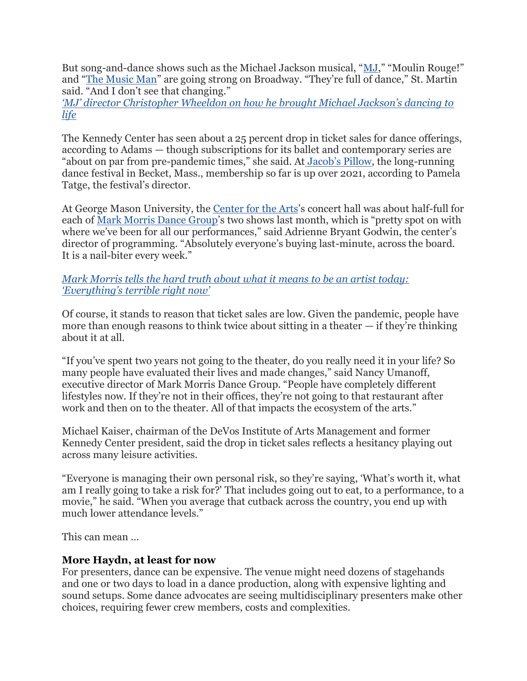But song-and-dance shows such as the Michael Jackson musical, "[MJ](https://www.washingtonpost.com/theater-dance/2022/02/01/mj-michael-jackson-musical/?itid=lk_inline_manual_26)," "Moulin Rouge!" and "[The Music Man](https://www.washingtonpost.com/theater-dance/2022/02/11/music-man-jackman-broadway/?itid=lk_inline_manual_26)" are going strong on Broadway. "They're full of dance," St. Martin said. "And I don't see that changing."

*['MJ' director Christopher Wheeldon on how he brought Michael Jackson's dancing to](https://www.washingtonpost.com/theater-dance/2022/02/11/michael-jackson-musical-director-wheeldon/?itid=lk_interstitial_manual_27)  [life](https://www.washingtonpost.com/theater-dance/2022/02/11/michael-jackson-musical-director-wheeldon/?itid=lk_interstitial_manual_27)*

The Kennedy Center has seen about a 25 percent drop in ticket sales for dance offerings, according to Adams — though subscriptions for its ballet and contemporary series are "about on par from pre-pandemic times," she said. At [Jacob's Pillow](https://www.jacobspillow.org/about/meet-the-director/), the long-running dance festival in Becket, Mass., membership so far is up over 2021, according to Pamela Tatge, the festival's director.

At George Mason University, the [Center for the Arts](https://cfa.gmu.edu/)'s concert hall was about half-full for each of [Mark Morris Dance Group](https://markmorrisdancegroup.org/)'s two shows last month, which is "pretty spot on with where we've been for all our performances," said Adrienne Bryant Godwin, the center's director of programming. "Absolutely everyone's buying last-minute, across the board. It is a nail-biter every week."

#### *[Mark Morris tells the hard truth about what it means to be an artist today:](https://www.washingtonpost.com/theater-dance/2022/02/18/mark-morris-george-mason-covid/?itid=lk_interstitial_manual_32)  ['Everything's terrible right now'](https://www.washingtonpost.com/theater-dance/2022/02/18/mark-morris-george-mason-covid/?itid=lk_interstitial_manual_32)*

Of course, it stands to reason that ticket sales are low. Given the pandemic, people have more than enough reasons to think twice about sitting in a theater  $-$  if they're thinking about it at all.

"If you've spent two years not going to the theater, do you really need it in your life? So many people have evaluated their lives and made changes," said Nancy Umanoff, executive director of Mark Morris Dance Group. "People have completely different lifestyles now. If they're not in their offices, they're not going to that restaurant after work and then on to the theater. All of that impacts the ecosystem of the arts."

Michael Kaiser, chairman of the DeVos Institute of Arts Management and former Kennedy Center president, said the drop in ticket sales reflects a hesitancy playing out across many leisure activities.

"Everyone is managing their own personal risk, so they're saying, 'What's worth it, what am I really going to take a risk for?' That includes going out to eat, to a performance, to a movie," he said. "When you average that cutback across the country, you end up with much lower attendance levels."

This can mean …

# **More Haydn, at least for now**

For presenters, dance can be expensive. The venue might need dozens of stagehands and one or two days to load in a dance production, along with expensive lighting and sound setups. Some dance advocates are seeing multidisciplinary presenters make other choices, requiring fewer crew members, costs and complexities.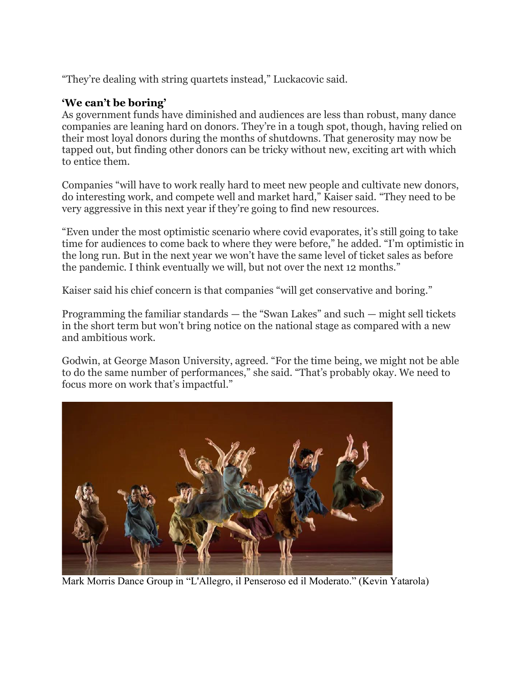"They're dealing with string quartets instead," Luckacovic said.

# **'We can't be boring'**

As government funds have diminished and audiences are less than robust, many dance companies are leaning hard on donors. They're in a tough spot, though, having relied on their most loyal donors during the months of shutdowns. That generosity may now be tapped out, but finding other donors can be tricky without new, exciting art with which to entice them.

Companies "will have to work really hard to meet new people and cultivate new donors, do interesting work, and compete well and market hard," Kaiser said. "They need to be very aggressive in this next year if they're going to find new resources.

"Even under the most optimistic scenario where covid evaporates, it's still going to take time for audiences to come back to where they were before," he added. "I'm optimistic in the long run. But in the next year we won't have the same level of ticket sales as before the pandemic. I think eventually we will, but not over the next 12 months."

Kaiser said his chief concern is that companies "will get conservative and boring."

Programming the familiar standards — the "Swan Lakes" and such — might sell tickets in the short term but won't bring notice on the national stage as compared with a new and ambitious work.

Godwin, at George Mason University, agreed. "For the time being, we might not be able to do the same number of performances," she said. "That's probably okay. We need to focus more on work that's impactful."



Mark Morris Dance Group in "L'Allegro, il Penseroso ed il Moderato." (Kevin Yatarola)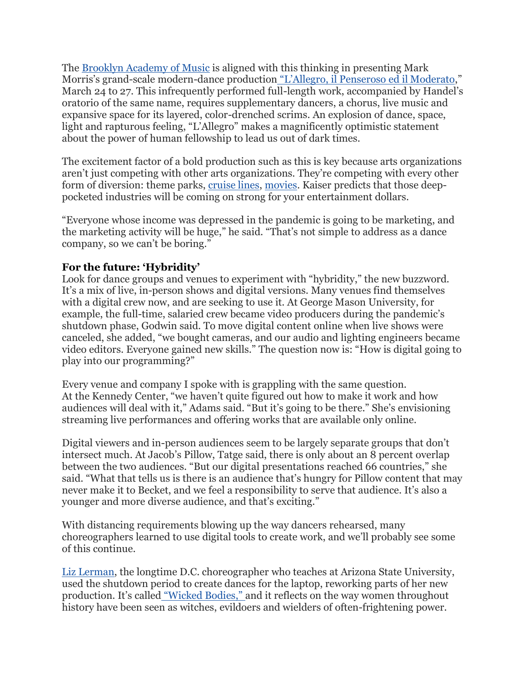The [Brooklyn Academy of Music](https://www.bam.org/lallegro) is aligned with this thinking in presenting Mark Morris's grand-scale modern-dance production ["L'Allegro, il Penseroso ed il Moderato,](https://markmorrisdancegroup.org/event/brooklyn-03-24-22/)" March 24 to 27. This infrequently performed full-length work, accompanied by Handel's oratorio of the same name, requires supplementary dancers, a chorus, live music and expansive space for its layered, color-drenched scrims. An explosion of dance, space, light and rapturous feeling, "L'Allegro" makes a magnificently optimistic statement about the power of human fellowship to lead us out of dark times.

The excitement factor of a bold production such as this is key because arts organizations aren't just competing with other arts organizations. They're competing with every other form of diversion: theme parks, [cruise lines,](https://www.washingtonpost.com/music/2022/03/11/outlaw-country-cruise/?itid=lk_inline_manual_57) [movies.](https://www.washingtonpost.com/arts-entertainment/2022/02/17/hornaday-cinema-risk-covid/?itid=lk_inline_manual_57) Kaiser predicts that those deeppocketed industries will be coming on strong for your entertainment dollars.

"Everyone whose income was depressed in the pandemic is going to be marketing, and the marketing activity will be huge," he said. "That's not simple to address as a dance company, so we can't be boring."

# **For the future: 'Hybridity'**

Look for dance groups and venues to experiment with "hybridity," the new buzzword. It's a mix of live, in-person shows and digital versions. Many venues find themselves with a digital crew now, and are seeking to use it. At George Mason University, for example, the full-time, salaried crew became video producers during the pandemic's shutdown phase, Godwin said. To move digital content online when live shows were canceled, she added, "we bought cameras, and our audio and lighting engineers became video editors. Everyone gained new skills." The question now is: "How is digital going to play into our programming?"

Every venue and company I spoke with is grappling with the same question. At the Kennedy Center, "we haven't quite figured out how to make it work and how audiences will deal with it," Adams said. "But it's going to be there." She's envisioning streaming live performances and offering works that are available only online.

Digital viewers and in-person audiences seem to be largely separate groups that don't intersect much. At Jacob's Pillow, Tatge said, there is only about an 8 percent overlap between the two audiences. "But our digital presentations reached 66 countries," she said. "What that tells us is there is an audience that's hungry for Pillow content that may never make it to Becket, and we feel a responsibility to serve that audience. It's also a younger and more diverse audience, and that's exciting."

With distancing requirements blowing up the way dancers rehearsed, many choreographers learned to use digital tools to create work, and we'll probably see some of this continue.

[Liz Lerman,](https://www.washingtonpost.com/lifestyle/style/washington-choreographer-liz-lerman-to-step-down-as-director-of-dance-exchange/2011/01/23/AB6dbMR_story.html?itid=lk_inline_manual_65) the longtime D.C. choreographer who teaches at Arizona State University, used the shutdown period to create dances for the laptop, reworking parts of her new production. It's called ["Wicked Bodies,"](https://lizlerman.com/wicked-bodies/) and it reflects on the way women throughout history have been seen as witches, evildoers and wielders of often-frightening power.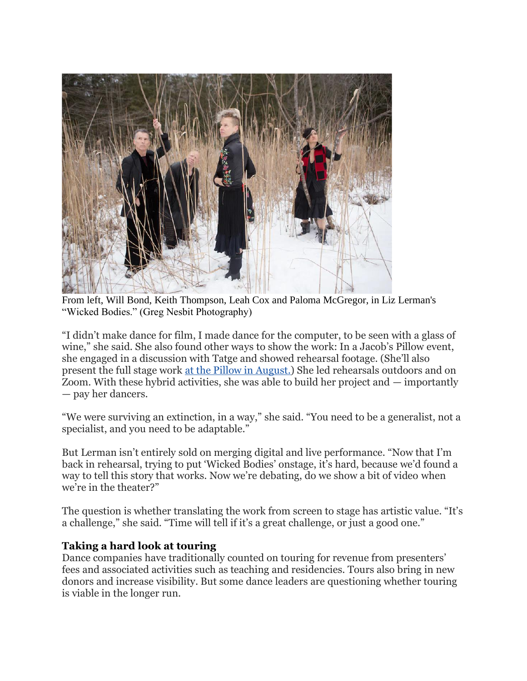

From left, Will Bond, Keith Thompson, Leah Cox and Paloma McGregor, in Liz Lerman's "Wicked Bodies." (Greg Nesbit Photography)

"I didn't make dance for film, I made dance for the computer, to be seen with a glass of wine," she said. She also found other ways to show the work: In a Jacob's Pillow event, she engaged in a discussion with Tatge and showed rehearsal footage. (She'll also present the full stage work [at the Pillow in August.\)](https://www.jacobspillow.org/events/liz-lerman-2/) She led rehearsals outdoors and on Zoom. With these hybrid activities, she was able to build her project and — importantly — pay her dancers.

"We were surviving an extinction, in a way," she said. "You need to be a generalist, not a specialist, and you need to be adaptable."

But Lerman isn't entirely sold on merging digital and live performance. "Now that I'm back in rehearsal, trying to put 'Wicked Bodies' onstage, it's hard, because we'd found a way to tell this story that works. Now we're debating, do we show a bit of video when we're in the theater?"

The question is whether translating the work from screen to stage has artistic value. "It's a challenge," she said. "Time will tell if it's a great challenge, or just a good one."

# **Taking a hard look at touring**

Dance companies have traditionally counted on touring for revenue from presenters' fees and associated activities such as teaching and residencies. Tours also bring in new donors and increase visibility. But some dance leaders are questioning whether touring is viable in the longer run.